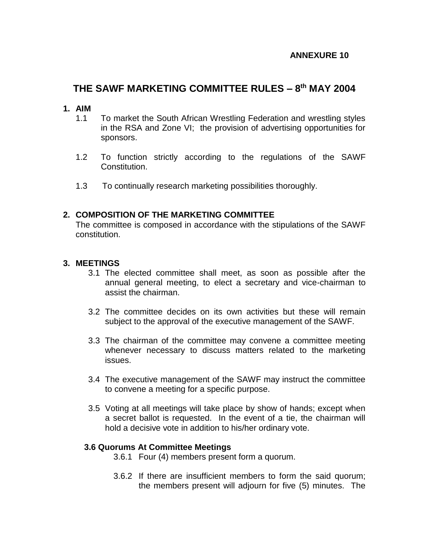# **THE SAWF MARKETING COMMITTEE RULES – 8 th MAY 2004**

#### **1. AIM**

- 1.1 To market the South African Wrestling Federation and wrestling styles in the RSA and Zone VI; the provision of advertising opportunities for sponsors.
- 1.2 To function strictly according to the regulations of the SAWF Constitution.
- 1.3 To continually research marketing possibilities thoroughly.

### **2. COMPOSITION OF THE MARKETING COMMITTEE**

The committee is composed in accordance with the stipulations of the SAWF constitution.

### **3. MEETINGS**

- 3.1 The elected committee shall meet, as soon as possible after the annual general meeting, to elect a secretary and vice-chairman to assist the chairman.
- 3.2 The committee decides on its own activities but these will remain subject to the approval of the executive management of the SAWF.
- 3.3 The chairman of the committee may convene a committee meeting whenever necessary to discuss matters related to the marketing issues.
- 3.4 The executive management of the SAWF may instruct the committee to convene a meeting for a specific purpose.
- 3.5 Voting at all meetings will take place by show of hands; except when a secret ballot is requested. In the event of a tie, the chairman will hold a decisive vote in addition to his/her ordinary vote.

### **3.6 Quorums At Committee Meetings**

- 3.6.1 Four (4) members present form a quorum.
- 3.6.2 If there are insufficient members to form the said quorum; the members present will adjourn for five (5) minutes. The